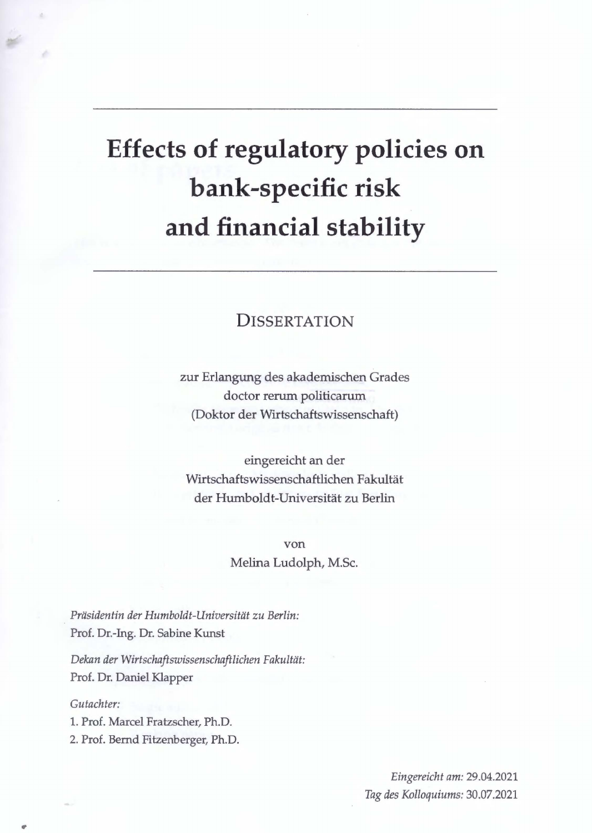## **Effects of regulatory policies on bank-specific risk and financial stability**

## **DISSERTATION**

zur Erlangung des akademischen Grades doctor rerum politicarum (Doktor der Wirtschaftswissenschaft)

eingereicht an der Wirtschaftswissenschaftlichen Fakultät der Humboldt-Universität zu Berlin

> von Melina Ludolph, M.Sc.

*Präsidentin der Humboldt-Universität zu Berlin:*  Prof. Dr.-Ing. Dr. Sabine Kunst

*Dekan der Wirtschaftswissenschaftlichen Fakultät:*  Prof. Dr. Daniel Klapper

*Gutachter:* 

,,

1. Prof. Marcel Fratzscher, Ph.D. 2. Prof. Bernd Fitzenberger, Ph.D.

> *Eingereicht am:* 29.04.2021 *Tag des Kolloquiums:* 30.07.2021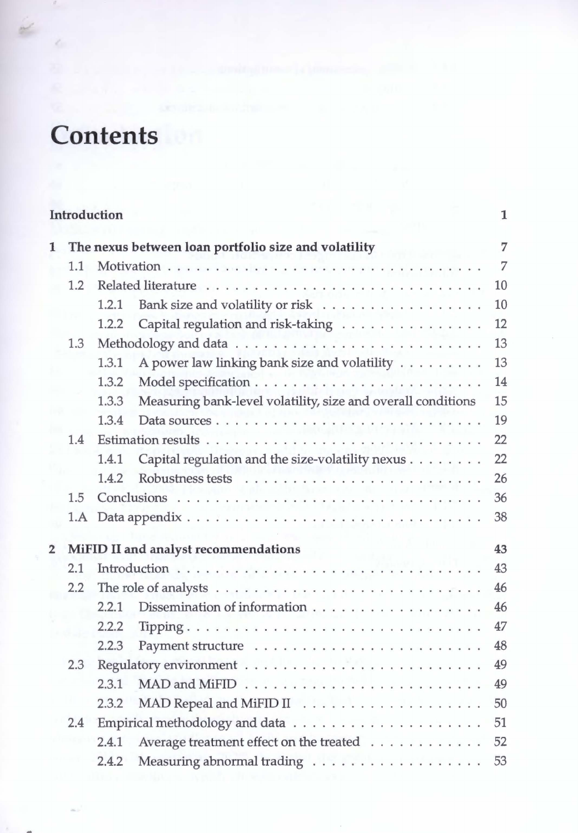## **Contents**

 $\mathcal{C}_{\alpha}$ 

 $\epsilon$ 

| Introduction<br>1 |       |                                                  |                                                                                                                                                                                                    |  |  |
|-------------------|-------|--------------------------------------------------|----------------------------------------------------------------------------------------------------------------------------------------------------------------------------------------------------|--|--|
|                   |       |                                                  | $\overline{7}$                                                                                                                                                                                     |  |  |
| 1.1               |       |                                                  | 7                                                                                                                                                                                                  |  |  |
| 1.2               |       |                                                  |                                                                                                                                                                                                    |  |  |
|                   | 1.2.1 | Bank size and volatility or risk                 | 10                                                                                                                                                                                                 |  |  |
|                   | 1.2.2 |                                                  | 12                                                                                                                                                                                                 |  |  |
| 1.3               |       |                                                  | 13                                                                                                                                                                                                 |  |  |
|                   | 1.3.1 | A power law linking bank size and volatility     | 13                                                                                                                                                                                                 |  |  |
|                   | 1.3.2 |                                                  | 14                                                                                                                                                                                                 |  |  |
|                   | 1.3.3 |                                                  | 15                                                                                                                                                                                                 |  |  |
|                   | 1.3.4 |                                                  | 19                                                                                                                                                                                                 |  |  |
| 1.4               |       |                                                  | 22                                                                                                                                                                                                 |  |  |
|                   | 1.4.1 | Capital regulation and the size-volatility nexus | 22                                                                                                                                                                                                 |  |  |
|                   | 1.4.2 |                                                  | 26                                                                                                                                                                                                 |  |  |
| 1.5               |       |                                                  | 36                                                                                                                                                                                                 |  |  |
| 1.A               |       |                                                  | 38                                                                                                                                                                                                 |  |  |
|                   |       |                                                  | 43                                                                                                                                                                                                 |  |  |
| 2.1               |       |                                                  | 43                                                                                                                                                                                                 |  |  |
| 2.2               |       |                                                  |                                                                                                                                                                                                    |  |  |
|                   | 2.2.1 | Dissemination of information                     | 46                                                                                                                                                                                                 |  |  |
|                   | 2.2.2 |                                                  | 47                                                                                                                                                                                                 |  |  |
|                   | 2.2.3 |                                                  | 48                                                                                                                                                                                                 |  |  |
| 2.3               |       |                                                  | 49                                                                                                                                                                                                 |  |  |
|                   | 2.3.1 |                                                  | 49                                                                                                                                                                                                 |  |  |
|                   | 2.3.2 |                                                  | 50                                                                                                                                                                                                 |  |  |
| 2.4               |       |                                                  | 51                                                                                                                                                                                                 |  |  |
|                   | 2.4.1 | Average treatment effect on the treated          | 52                                                                                                                                                                                                 |  |  |
|                   | 2.4.2 | Measuring abnormal trading                       | 53                                                                                                                                                                                                 |  |  |
|                   |       |                                                  | The nexus between loan portfolio size and volatility<br>Capital regulation and risk-taking<br>Measuring bank-level volatility, size and overall conditions<br>MiFID II and analyst recommendations |  |  |